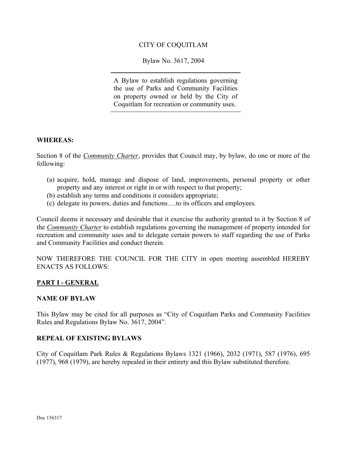### CITY OF COQUITLAM

Bylaw No. 3617, 2004

A Bylaw to establish regulations governing the use of Parks and Community Facilities on property owned or held by the City of Coquitlam for recreation or community uses.

#### **WHEREAS:**

Section 8 of the *Community Charter*, provides that Council may, by bylaw, do one or more of the following:

- (a) acquire, hold, manage and dispose of land, improvements, personal property or other property and any interest or right in or with respect to that property;
- (b) establish any terms and conditions it considers appropriate;
- (c) delegate its powers, duties and functions….to its officers and employees.

Council deems it necessary and desirable that it exercise the authority granted to it by Section 8 of the *Community Charter* to establish regulations governing the management of property intended for recreation and community uses and to delegate certain powers to staff regarding the use of Parks and Community Facilities and conduct therein.

NOW THEREFORE THE COUNCIL FOR THE CITY in open meeting assembled HEREBY ENACTS AS FOLLOWS:

#### **PART I - GENERAL**

#### **NAME OF BYLAW**

This Bylaw may be cited for all purposes as "City of Coquitlam Parks and Community Facilities Rules and Regulations Bylaw No. 3617, 2004".

#### **REPEAL OF EXISTING BYLAWS**

City of Coquitlam Park Rules & Regulations Bylaws 1321 (1966), 2032 (1971), 587 (1976), 695 (1977), 968 (1979), are hereby repealed in their entirety and this Bylaw substituted therefore.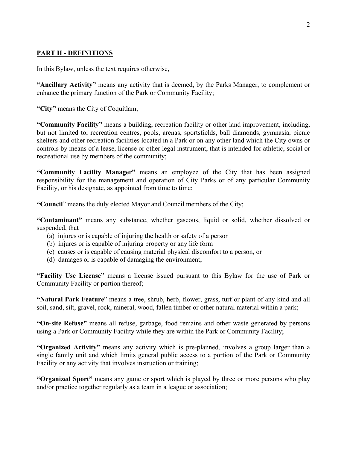# **PART II - DEFINITIONS**

In this Bylaw, unless the text requires otherwise,

**"Ancillary Activity"** means any activity that is deemed, by the Parks Manager, to complement or enhance the primary function of the Park or Community Facility;

**"City"** means the City of Coquitlam;

**"Community Facility"** means a building, recreation facility or other land improvement, including, but not limited to, recreation centres, pools, arenas, sportsfields, ball diamonds, gymnasia, picnic shelters and other recreation facilities located in a Park or on any other land which the City owns or controls by means of a lease, license or other legal instrument, that is intended for athletic, social or recreational use by members of the community;

**"Community Facility Manager"** means an employee of the City that has been assigned responsibility for the management and operation of City Parks or of any particular Community Facility, or his designate, as appointed from time to time;

**"Council**" means the duly elected Mayor and Council members of the City;

**"Contaminant"** means any substance, whether gaseous, liquid or solid, whether dissolved or suspended, that

- (a) injures or is capable of injuring the health or safety of a person
- (b) injures or is capable of injuring property or any life form
- (c) causes or is capable of causing material physical discomfort to a person, or
- (d) damages or is capable of damaging the environment;

**"Facility Use License"** means a license issued pursuant to this Bylaw for the use of Park or Community Facility or portion thereof;

**"Natural Park Feature**" means a tree, shrub, herb, flower, grass, turf or plant of any kind and all soil, sand, silt, gravel, rock, mineral, wood, fallen timber or other natural material within a park;

**"On-site Refuse"** means all refuse, garbage, food remains and other waste generated by persons using a Park or Community Facility while they are within the Park or Community Facility;

**"Organized Activity"** means any activity which is pre-planned, involves a group larger than a single family unit and which limits general public access to a portion of the Park or Community Facility or any activity that involves instruction or training;

**"Organized Sport"** means any game or sport which is played by three or more persons who play and/or practice together regularly as a team in a league or association;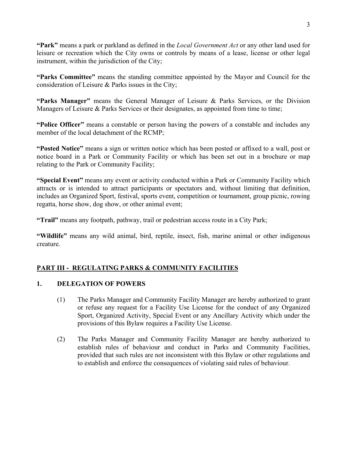**"Park"** means a park or parkland as defined in the *Local Government Act* or any other land used for leisure or recreation which the City owns or controls by means of a lease, license or other legal instrument, within the jurisdiction of the City;

**"Parks Committee"** means the standing committee appointed by the Mayor and Council for the consideration of Leisure & Parks issues in the City;

**"Parks Manager"** means the General Manager of Leisure & Parks Services, or the Division Managers of Leisure & Parks Services or their designates, as appointed from time to time;

**"Police Officer"** means a constable or person having the powers of a constable and includes any member of the local detachment of the RCMP;

**"Posted Notice"** means a sign or written notice which has been posted or affixed to a wall, post or notice board in a Park or Community Facility or which has been set out in a brochure or map relating to the Park or Community Facility;

**"Special Event"** means any event or activity conducted within a Park or Community Facility which attracts or is intended to attract participants or spectators and, without limiting that definition, includes an Organized Sport, festival, sports event, competition or tournament, group picnic, rowing regatta, horse show, dog show, or other animal event;

**"Trail"** means any footpath, pathway, trail or pedestrian access route in a City Park;

**"Wildlife"** means any wild animal, bird, reptile, insect, fish, marine animal or other indigenous creature.

# **PART III - REGULATING PARKS & COMMUNITY FACILITIES**

# **1. DELEGATION OF POWERS**

- (1) The Parks Manager and Community Facility Manager are hereby authorized to grant or refuse any request for a Facility Use License for the conduct of any Organized Sport, Organized Activity, Special Event or any Ancillary Activity which under the provisions of this Bylaw requires a Facility Use License.
- (2) The Parks Manager and Community Facility Manager are hereby authorized to establish rules of behaviour and conduct in Parks and Community Facilities, provided that such rules are not inconsistent with this Bylaw or other regulations and to establish and enforce the consequences of violating said rules of behaviour.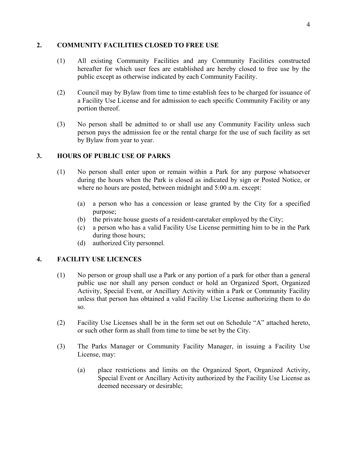### **2. COMMUNITY FACILITIES CLOSED TO FREE USE**

- (1) All existing Community Facilities and any Community Facilities constructed hereafter for which user fees are established are hereby closed to free use by the public except as otherwise indicated by each Community Facility.
- (2) Council may by Bylaw from time to time establish fees to be charged for issuance of a Facility Use License and for admission to each specific Community Facility or any portion thereof.
- (3) No person shall be admitted to or shall use any Community Facility unless such person pays the admission fee or the rental charge for the use of such facility as set by Bylaw from year to year.

## **3. HOURS OF PUBLIC USE OF PARKS**

- (1) No person shall enter upon or remain within a Park for any purpose whatsoever during the hours when the Park is closed as indicated by sign or Posted Notice, or where no hours are posted, between midnight and 5:00 a.m. except:
	- (a) a person who has a concession or lease granted by the City for a specified purpose;
	- (b) the private house guests of a resident-caretaker employed by the City;
	- (c) a person who has a valid Facility Use License permitting him to be in the Park during those hours;
	- (d) authorized City personnel.

# **4. FACILITY USE LICENCES**

- (1) No person or group shall use a Park or any portion of a park for other than a general public use nor shall any person conduct or hold an Organized Sport, Organized Activity, Special Event, or Ancillary Activity within a Park or Community Facility unless that person has obtained a valid Facility Use License authorizing them to do so.
- (2) Facility Use Licenses shall be in the form set out on Schedule "A" attached hereto, or such other form as shall from time to time be set by the City.
- (3) The Parks Manager or Community Facility Manager, in issuing a Facility Use License, may:
	- (a) place restrictions and limits on the Organized Sport, Organized Activity, Special Event or Ancillary Activity authorized by the Facility Use License as deemed necessary or desirable;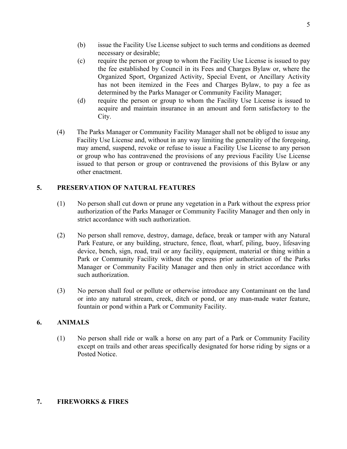- (c) require the person or group to whom the Facility Use License is issued to pay the fee established by Council in its Fees and Charges Bylaw or, where the Organized Sport, Organized Activity, Special Event, or Ancillary Activity has not been itemized in the Fees and Charges Bylaw, to pay a fee as determined by the Parks Manager or Community Facility Manager;
- (d) require the person or group to whom the Facility Use License is issued to acquire and maintain insurance in an amount and form satisfactory to the City.
- (4) The Parks Manager or Community Facility Manager shall not be obliged to issue any Facility Use License and, without in any way limiting the generality of the foregoing, may amend, suspend, revoke or refuse to issue a Facility Use License to any person or group who has contravened the provisions of any previous Facility Use License issued to that person or group or contravened the provisions of this Bylaw or any other enactment.

# **5. PRESERVATION OF NATURAL FEATURES**

- (1) No person shall cut down or prune any vegetation in a Park without the express prior authorization of the Parks Manager or Community Facility Manager and then only in strict accordance with such authorization.
- (2) No person shall remove, destroy, damage, deface, break or tamper with any Natural Park Feature, or any building, structure, fence, float, wharf, piling, buoy, lifesaving device, bench, sign, road, trail or any facility, equipment, material or thing within a Park or Community Facility without the express prior authorization of the Parks Manager or Community Facility Manager and then only in strict accordance with such authorization.
- (3) No person shall foul or pollute or otherwise introduce any Contaminant on the land or into any natural stream, creek, ditch or pond, or any man-made water feature, fountain or pond within a Park or Community Facility.

# **6. ANIMALS**

(1) No person shall ride or walk a horse on any part of a Park or Community Facility except on trails and other areas specifically designated for horse riding by signs or a Posted Notice.

### **7. FIREWORKS & FIRES**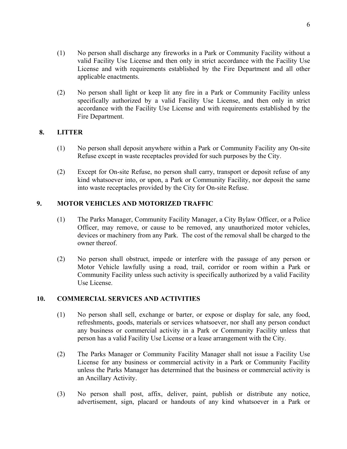- (1) No person shall discharge any fireworks in a Park or Community Facility without a valid Facility Use License and then only in strict accordance with the Facility Use License and with requirements established by the Fire Department and all other applicable enactments.
- (2) No person shall light or keep lit any fire in a Park or Community Facility unless specifically authorized by a valid Facility Use License, and then only in strict accordance with the Facility Use License and with requirements established by the Fire Department.

#### **8. LITTER**

- (1) No person shall deposit anywhere within a Park or Community Facility any On-site Refuse except in waste receptacles provided for such purposes by the City.
- (2) Except for On-site Refuse, no person shall carry, transport or deposit refuse of any kind whatsoever into, or upon, a Park or Community Facility, nor deposit the same into waste receptacles provided by the City for On-site Refuse.

## **9. MOTOR VEHICLES AND MOTORIZED TRAFFIC**

- (1) The Parks Manager, Community Facility Manager, a City Bylaw Officer, or a Police Officer, may remove, or cause to be removed, any unauthorized motor vehicles, devices or machinery from any Park. The cost of the removal shall be charged to the owner thereof.
- (2) No person shall obstruct, impede or interfere with the passage of any person or Motor Vehicle lawfully using a road, trail, corridor or room within a Park or Community Facility unless such activity is specifically authorized by a valid Facility Use License.

#### **10. COMMERCIAL SERVICES AND ACTIVITIES**

- (1) No person shall sell, exchange or barter, or expose or display for sale, any food, refreshments, goods, materials or services whatsoever, nor shall any person conduct any business or commercial activity in a Park or Community Facility unless that person has a valid Facility Use License or a lease arrangement with the City.
- (2) The Parks Manager or Community Facility Manager shall not issue a Facility Use License for any business or commercial activity in a Park or Community Facility unless the Parks Manager has determined that the business or commercial activity is an Ancillary Activity.
- (3) No person shall post, affix, deliver, paint, publish or distribute any notice, advertisement, sign, placard or handouts of any kind whatsoever in a Park or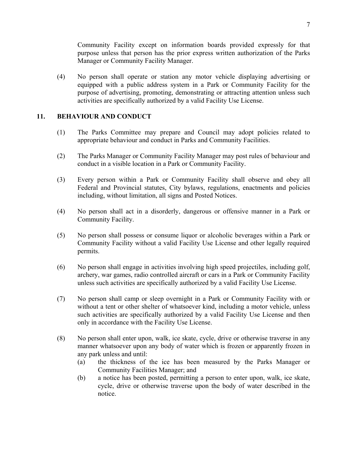Community Facility except on information boards provided expressly for that purpose unless that person has the prior express written authorization of the Parks Manager or Community Facility Manager.

(4) No person shall operate or station any motor vehicle displaying advertising or equipped with a public address system in a Park or Community Facility for the purpose of advertising, promoting, demonstrating or attracting attention unless such activities are specifically authorized by a valid Facility Use License.

### **11. BEHAVIOUR AND CONDUCT**

- (1) The Parks Committee may prepare and Council may adopt policies related to appropriate behaviour and conduct in Parks and Community Facilities.
- (2) The Parks Manager or Community Facility Manager may post rules of behaviour and conduct in a visible location in a Park or Community Facility.
- (3) Every person within a Park or Community Facility shall observe and obey all Federal and Provincial statutes, City bylaws, regulations, enactments and policies including, without limitation, all signs and Posted Notices.
- (4) No person shall act in a disorderly, dangerous or offensive manner in a Park or Community Facility.
- (5) No person shall possess or consume liquor or alcoholic beverages within a Park or Community Facility without a valid Facility Use License and other legally required permits.
- (6) No person shall engage in activities involving high speed projectiles, including golf, archery, war games, radio controlled aircraft or cars in a Park or Community Facility unless such activities are specifically authorized by a valid Facility Use License.
- (7) No person shall camp or sleep overnight in a Park or Community Facility with or without a tent or other shelter of whatsoever kind, including a motor vehicle, unless such activities are specifically authorized by a valid Facility Use License and then only in accordance with the Facility Use License.
- (8) No person shall enter upon, walk, ice skate, cycle, drive or otherwise traverse in any manner whatsoever upon any body of water which is frozen or apparently frozen in any park unless and until:
	- (a) the thickness of the ice has been measured by the Parks Manager or Community Facilities Manager; and
	- (b) a notice has been posted, permitting a person to enter upon, walk, ice skate, cycle, drive or otherwise traverse upon the body of water described in the notice.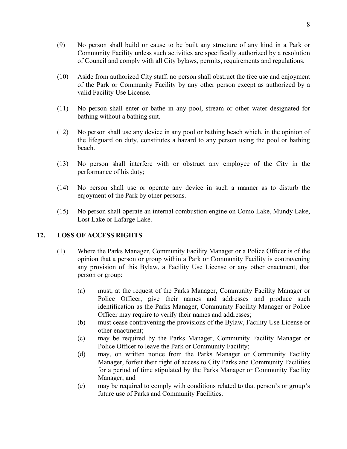- (9) No person shall build or cause to be built any structure of any kind in a Park or Community Facility unless such activities are specifically authorized by a resolution of Council and comply with all City bylaws, permits, requirements and regulations.
- (10) Aside from authorized City staff, no person shall obstruct the free use and enjoyment of the Park or Community Facility by any other person except as authorized by a valid Facility Use License.
- (11) No person shall enter or bathe in any pool, stream or other water designated for bathing without a bathing suit.
- (12) No person shall use any device in any pool or bathing beach which, in the opinion of the lifeguard on duty, constitutes a hazard to any person using the pool or bathing beach.
- (13) No person shall interfere with or obstruct any employee of the City in the performance of his duty;
- (14) No person shall use or operate any device in such a manner as to disturb the enjoyment of the Park by other persons.
- (15) No person shall operate an internal combustion engine on Como Lake, Mundy Lake, Lost Lake or Lafarge Lake.

#### **12. LOSS OF ACCESS RIGHTS**

- (1) Where the Parks Manager, Community Facility Manager or a Police Officer is of the opinion that a person or group within a Park or Community Facility is contravening any provision of this Bylaw, a Facility Use License or any other enactment, that person or group:
	- (a) must, at the request of the Parks Manager, Community Facility Manager or Police Officer, give their names and addresses and produce such identification as the Parks Manager, Community Facility Manager or Police Officer may require to verify their names and addresses;
	- (b) must cease contravening the provisions of the Bylaw, Facility Use License or other enactment;
	- (c) may be required by the Parks Manager, Community Facility Manager or Police Officer to leave the Park or Community Facility;
	- (d) may, on written notice from the Parks Manager or Community Facility Manager, forfeit their right of access to City Parks and Community Facilities for a period of time stipulated by the Parks Manager or Community Facility Manager; and
	- (e) may be required to comply with conditions related to that person's or group's future use of Parks and Community Facilities.